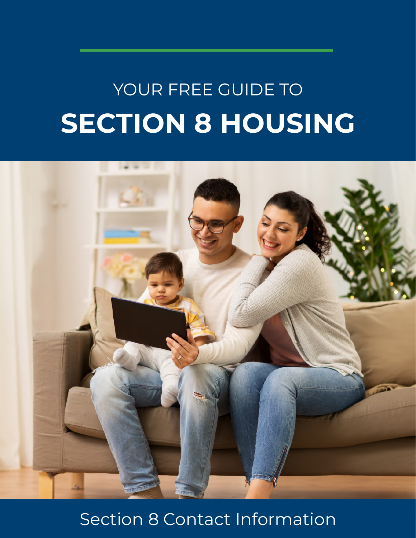# **SECTION 8 HOUSING** YOUR FREE GUIDE TO



# Section 8 Contact Information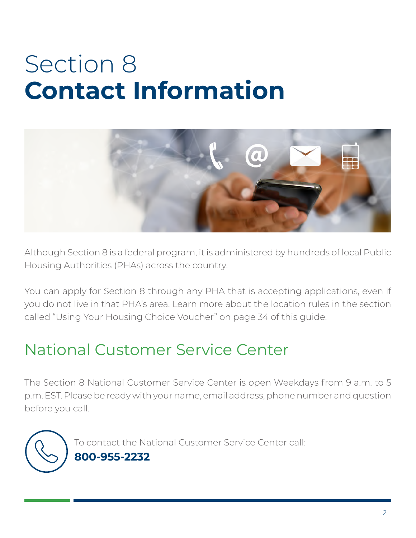# Section 8 **Contact Information**



Although Section 8 is a federal program, it is administered by hundreds of local Public Housing Authorities (PHAs) across the country.

You can apply for Section 8 through any PHA that is accepting applications, even if you do not live in that PHA's area. Learn more about the location rules in the section called "Using Your Housing Choice Voucher" on page 34 of this guide.

# National Customer Service Center

The Section 8 National Customer Service Center is open Weekdays from 9 a.m. to 5 p.m. EST. Please be ready with your name, email address, phone number and question before you call.

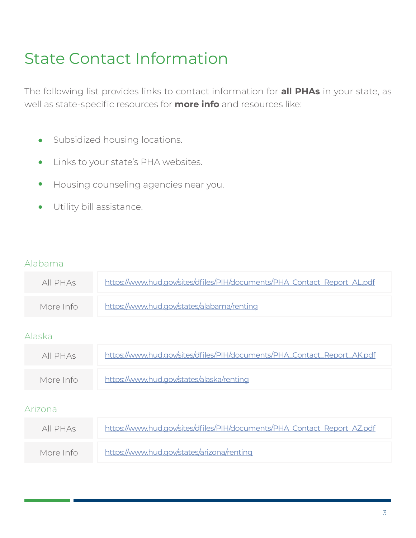# State Contact Information

The following list provides links to contact information for **all PHAs** in your state, as well as state-specific resources for **more info** and resources like:

- Subsidized housing locations.  $\bullet$
- Links to your state's PHA websites.  $\bullet$
- Housing counseling agencies near you.  $\bullet$
- Utility bill assistance. $\bullet$

#### Alabama

| All PHAS  | https://www.hud.gov/sites/dfiles/PIH/documents/PHA_Contact_Report_AL.pdf |
|-----------|--------------------------------------------------------------------------|
| More Info | https://www.hud.gov/states/alabama/renting                               |
|           |                                                                          |

#### Alaska

| All PHAs  | https://www.hud.gov/sites/dfiles/PIH/documents/PHA_Contact_Report_AK.pdf |
|-----------|--------------------------------------------------------------------------|
| More Info | https://www.hud.gov/states/alaska/renting                                |

#### Arizona

| All PHAs  | https://www.hud.gov/sites/dfiles/PIH/documents/PHA_Contact_Report_AZ.pdf |
|-----------|--------------------------------------------------------------------------|
| More Info | https://www.hud.gov/states/arizona/renting                               |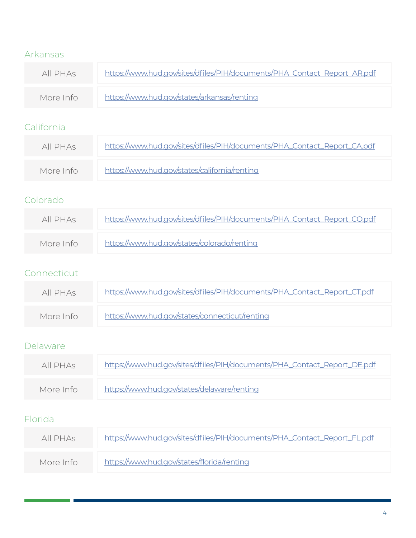# Arkansas

| All PHAs  | https://www.hud.gov/sites/dfiles/PIH/documents/PHA_Contact_Report_AR.pdf |
|-----------|--------------------------------------------------------------------------|
| More Info | https://www.hud.gov/states/arkansas/renting                              |

# California

| All PHAs  | https://www.hud.gov/sites/dfiles/PIH/documents/PHA_Contact_Report_CA.pdf |
|-----------|--------------------------------------------------------------------------|
| More Info | https://www.hud.gov/states/california/renting                            |

### Colorado

| All PHAs  | https://www.hud.gov/sites/dfiles/PIH/documents/PHA_Contact_Report_CO.pdf |
|-----------|--------------------------------------------------------------------------|
| More Info | https://www.hud.gov/states/colorado/renting                              |

#### Connecticut

| All PHAs  | https://www.hud.gov/sites/dfiles/PIH/documents/PHA_Contact_Report_CT.pdf |
|-----------|--------------------------------------------------------------------------|
| More Info | https://www.hud.gov/states/connecticut/renting                           |

#### Delaware

| All PHAS  | https://www.hud.gov/sites/dfiles/PIH/documents/PHA_Contact_Report_DE.pdf |
|-----------|--------------------------------------------------------------------------|
| More Info | https://www.hud.gov/states/delaware/renting                              |

# Florida

| All PHAS  | https://www.hud.gov/sites/dfiles/PIH/documents/PHA_Contact_Report_FL.pdf |
|-----------|--------------------------------------------------------------------------|
| More Info | https://www.hud.gov/states/florida/renting                               |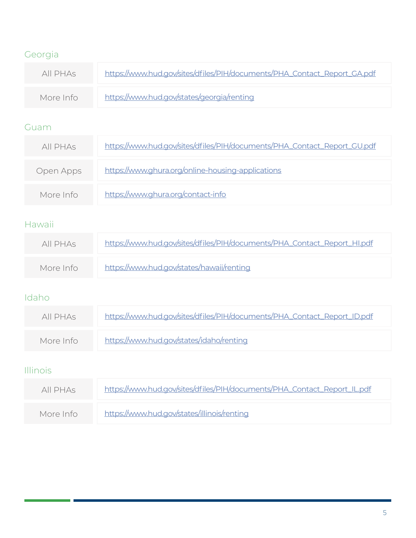# Georgia

| All PHAs  | https://www.hud.gov/sites/dfiles/PIH/documents/PHA_Contact_Report_GA.pdf |
|-----------|--------------------------------------------------------------------------|
| More Info | https://www.hud.gov/states/georgia/renting                               |

#### Guam

| All PHAS  | https://www.hud.gov/sites/dfiles/PIH/documents/PHA_Contact_Report_GU.pdf |
|-----------|--------------------------------------------------------------------------|
| Open Apps | https://www.ghura.org/online-housing-applications                        |
| More Info | https://www.ghura.org/contact-info                                       |

## Hawaii

| All PHAS  | https://www.hud.gov/sites/dfiles/PIH/documents/PHA_Contact_Report_HI.pdf |
|-----------|--------------------------------------------------------------------------|
| More Info | https://www.hud.gov/states/hawaii/renting                                |

# Idaho

| All PHAs  | https://www.hud.gov/sites/dfiles/PIH/documents/PHA_Contact_Report_ID.pdf |
|-----------|--------------------------------------------------------------------------|
| More Info | https://www.hud.gov/states/idaho/renting                                 |

## Illinois

| All PHAs  | https://www.hud.gov/sites/dfiles/PIH/documents/PHA_Contact_Report_IL.pdf |
|-----------|--------------------------------------------------------------------------|
| More Info | https://www.hud.gov/states/illinois/renting                              |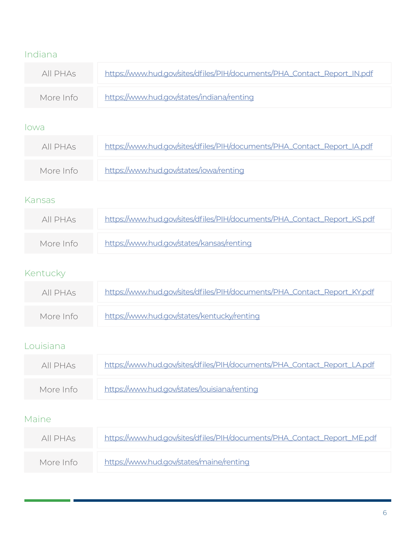# Indiana

| All PHAS  | https://www.hud.gov/sites/dfiles/PIH/documents/PHA_Contact_Report_IN.pdf |
|-----------|--------------------------------------------------------------------------|
| More Info | https://www.hud.gov/states/indiana/renting                               |

#### Iowa

| All PHAs  | https://www.hud.gov/sites/dfiles/PIH/documents/PHA_Contact_Report_IA.pdf |
|-----------|--------------------------------------------------------------------------|
| More Info | https://www.hud.gov/states/iowa/renting                                  |

#### Kansas

| All PHAs  | https://www.hud.gov/sites/dfiles/PIH/documents/PHA_Contact_Report_KS.pdf |
|-----------|--------------------------------------------------------------------------|
| More Info | https://www.hud.gov/states/kansas/renting                                |

# Kentucky

| All PHAs  | https://www.hud.gov/sites/dfiles/PIH/documents/PHA_Contact_Report_KY.pdf |
|-----------|--------------------------------------------------------------------------|
| More Info | https://www.hud.gov/states/kentucky/renting                              |

# Louisiana

| All PHAs  | https://www.hud.gov/sites/dfiles/PIH/documents/PHA_Contact_Report_LA.pdf |
|-----------|--------------------------------------------------------------------------|
| More Info | https://www.hud.gov/states/louisiana/renting                             |

# Maine

| All PHAs  | https://www.hud.gov/sites/dfiles/PIH/documents/PHA_Contact_Report_ME.pdf |
|-----------|--------------------------------------------------------------------------|
| More Info | https://www.hud.gov/states/maine/renting                                 |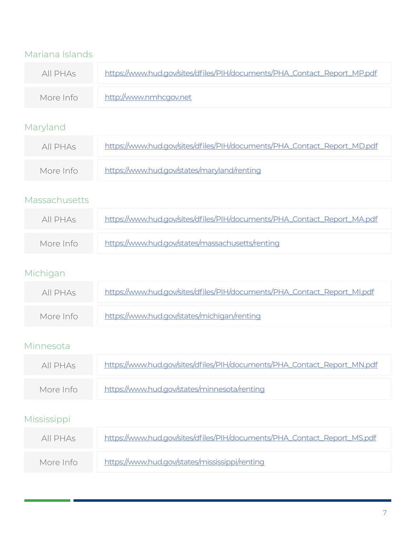| Mariana Islands |               |                                                                          |
|-----------------|---------------|--------------------------------------------------------------------------|
|                 | All PHAS      | https://www.hud.gov/sites/dfiles/PIH/documents/PHA_Contact_Report_MP.pdf |
|                 | More Info     | http://www.nmhcgov.net                                                   |
|                 | Maryland      |                                                                          |
|                 | All PHAS      | https://www.hud.gov/sites/dfiles/PIH/documents/PHA_Contact_Report_MD.pdf |
|                 | More Info     | https://www.hud.gov/states/maryland/renting                              |
|                 | Massachusetts |                                                                          |
|                 | All PHAS      | https://www.hud.gov/sites/dfiles/PIH/documents/PHA_Contact_Report_MA.pdf |
|                 | More Info     | https://www.hud.gov/states/massachusetts/renting                         |
|                 | Michigan      |                                                                          |
|                 | All PHAs      | https://www.hud.gov/sites/dfiles/PIH/documents/PHA_Contact_Report_MI.pdf |
|                 | More Info     | https://www.hud.gov/states/michigan/renting                              |
|                 | Minnesota     |                                                                          |
|                 | All PHAs      | https://www.hud.gov/sites/dfiles/PIH/documents/PHA_Contact_Report_MN.pdf |
|                 | More Info     | https://www.hud.gov/states/minnesota/renting                             |
|                 | Mississippi   |                                                                          |
|                 | All PHAs      | https://www.hud.gov/sites/dfiles/PIH/documents/PHA_Contact_Report_MS.pdf |

| More Info | https://www.hud.gov/states/mississippi/renting |
|-----------|------------------------------------------------|
|           |                                                |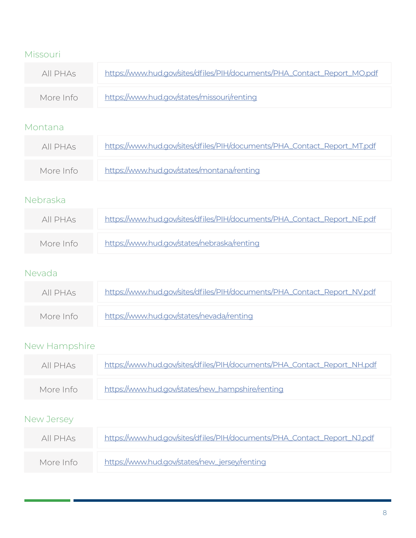## Missouri

| All PHAs  | https://www.hud.gov/sites/dfiles/PIH/documents/PHA_Contact_Report_MO.pdf |
|-----------|--------------------------------------------------------------------------|
| More Info | https://www.hud.gov/states/missouri/renting                              |

#### Montana

| All PHAs  | https://www.hud.gov/sites/dfiles/PIH/documents/PHA_Contact_Report_MT.pdf |
|-----------|--------------------------------------------------------------------------|
| More Info | https://www.hud.gov/states/montana/renting                               |

## Nebraska

| All PHAs  | https://www.hud.gov/sites/dfiles/PIH/documents/PHA_Contact_Report_NE.pdf |
|-----------|--------------------------------------------------------------------------|
| More Info | https://www.hud.gov/states/nebraska/renting                              |

#### Nevada

| All PHAs  | https://www.hud.gov/sites/dfiles/PIH/documents/PHA_Contact_Report_NV.pdf |
|-----------|--------------------------------------------------------------------------|
| More Info | https://www.hud.gov/states/nevada/renting                                |

# New Hampshire

| All PHAs  | https://www.hud.gov/sites/dfiles/PIH/documents/PHA_Contact_Report_NH.pdf |
|-----------|--------------------------------------------------------------------------|
| More Info | https://www.hud.gov/states/new_hampshire/renting                         |

# New Jersey

| All PHAs  | https://www.hud.gov/sites/dfiles/PIH/documents/PHA_Contact_Report_NJ.pdf |
|-----------|--------------------------------------------------------------------------|
| More Info | https://www.hud.gov/states/new_jersey/renting                            |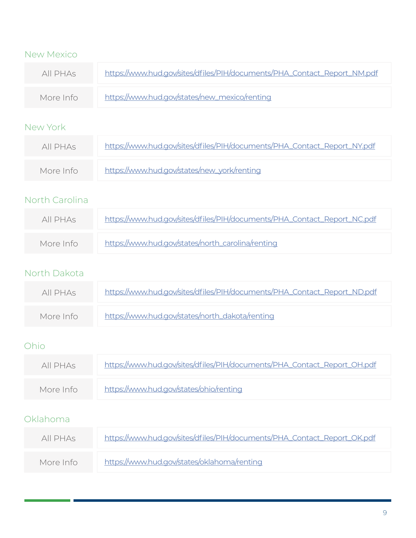| <b>New Mexico</b> |                                                                          |
|-------------------|--------------------------------------------------------------------------|
| All PHAs          | https://www.hud.gov/sites/dfiles/PIH/documents/PHA_Contact_Report_NM.pdf |
| More Info         | https://www.hud.gov/states/new_mexico/renting                            |
| New York          |                                                                          |
| All PHAs          | https://www.hud.gov/sites/dfiles/PIH/documents/PHA_Contact_Report_NY.pdf |
| More Info         | https://www.hud.gov/states/new_york/renting                              |
| North Carolina    |                                                                          |
| All PHAs          | https://www.hud.gov/sites/dfiles/PIH/documents/PHA_Contact_Report_NC.pdf |
| More Info         | https://www.hud.gov/states/north_carolina/renting                        |
| North Dakota      |                                                                          |
| All PHAs          | https://www.hud.gov/sites/dfiles/PIH/documents/PHA_Contact_Report_ND.pdf |
| More Info         | https://www.hud.gov/states/north_dakota/renting                          |
| Ohio              |                                                                          |
| All PHAs          | https://www.hud.gov/sites/dfiles/PIH/documents/PHA_Contact_Report_OH.pdf |
| More Info         | https://www.hud.gov/states/ohio/renting                                  |
| Oklahoma          |                                                                          |
| All PHAs          | https://www.hud.gov/sites/dfiles/PIH/documents/PHA_Contact_Report_OK.pdf |
| More Info         | https://www.hud.gov/states/oklahoma/renting                              |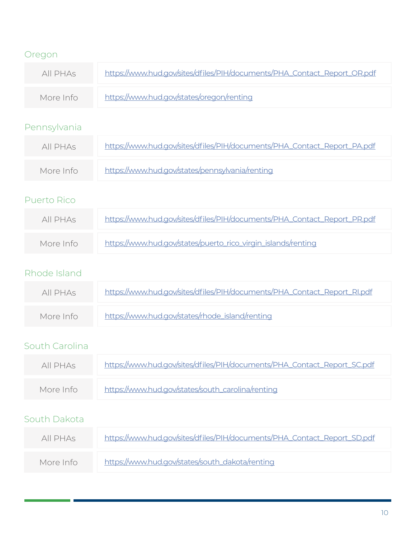| Oregon             |                                                                          |
|--------------------|--------------------------------------------------------------------------|
| All PHAS           | https://www.hud.gov/sites/dfiles/PIH/documents/PHA_Contact_Report_OR.pdf |
| More Info          | https://www.hud.gov/states/oregon/renting                                |
| Pennsylvania       |                                                                          |
| All PHAS           | https://www.hud.gov/sites/dfiles/PIH/documents/PHA_Contact_Report_PA.pdf |
| More Info          | https://www.hud.gov/states/pennsylvania/renting                          |
| <b>Puerto Rico</b> |                                                                          |
| All PHAS           | https://www.hud.gov/sites/dfiles/PIH/documents/PHA_Contact_Report_PR.pdf |
| More Info          | https://www.hud.gov/states/puerto_rico_virgin_islands/renting            |
| Rhode Island       |                                                                          |
| All PHAs           | https://www.hud.gov/sites/dfiles/PIH/documents/PHA_Contact_Report_RI.pdf |
| More Info          | https://www.hud.gov/states/rhode_island/renting                          |
| South Carolina     |                                                                          |
| All PHAs           | https://www.hud.gov/sites/dfiles/PIH/documents/PHA_Contact_Report_SC.pdf |
| More Info          | https://www.hud.gov/states/south_carolina/renting                        |
| South Dakota       |                                                                          |
| All PHAS           | https://www.hud.gov/sites/dfiles/PIH/documents/PHA_Contact_Report_SD.pdf |
| More Info          | https://www.hud.gov/states/south_dakota/renting                          |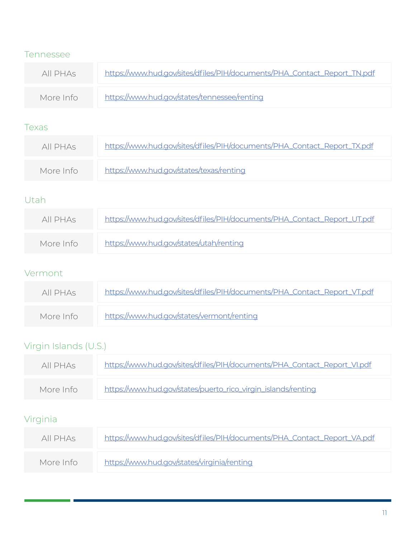#### Tennessee

| All PHAS  | https://www.hud.gov/sites/dfiles/PIH/documents/PHA_Contact_Report_TN.pdf |
|-----------|--------------------------------------------------------------------------|
| More Info | https://www.hud.gov/states/tennessee/renting                             |

#### Texas

| All PHAs  | https://www.hud.gov/sites/dfiles/PIH/documents/PHA_Contact_Report_TX.pdf |
|-----------|--------------------------------------------------------------------------|
| More Info | https://www.hud.gov/states/texas/renting                                 |

# Utah

| All PHAs  | https://www.hud.gov/sites/dfiles/PIH/documents/PHA_Contact_Report_UT.pdf |
|-----------|--------------------------------------------------------------------------|
| More Info | https://www.hud.gov/states/utah/renting                                  |

#### Vermont

| All PHAs  | https://www.hud.gov/sites/dfiles/PIH/documents/PHA_Contact_Report_VT.pdf |
|-----------|--------------------------------------------------------------------------|
| More Info | https://www.hud.gov/states/vermont/renting                               |

# Virgin Islands (U.S.)

| All PHAs  | https://www.hud.gov/sites/dfiles/PIH/documents/PHA_Contact_Report_VI.pdf |
|-----------|--------------------------------------------------------------------------|
| More Info | https://www.hud.gov/states/puerto_rico_virgin_islands/renting            |

# Virginia

| All PHAs  | https://www.hud.gov/sites/dfiles/PIH/documents/PHA_Contact_Report_VA.pdf |
|-----------|--------------------------------------------------------------------------|
| More Info | https://www.hud.gov/states/virginia/renting                              |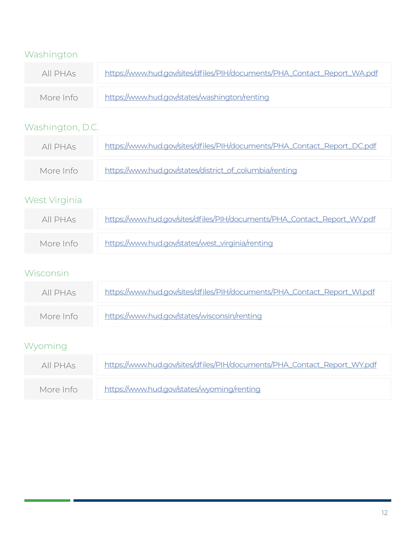# Washington

| All PHAs  | https://www.hud.gov/sites/dfiles/PIH/documents/PHA_Contact_Report_WA.pdf |
|-----------|--------------------------------------------------------------------------|
| More Info | https://www.hud.gov/states/washington/renting                            |

# Washington, D.C.

| All PHAs  | https://www.hud.gov/sites/dfiles/PIH/documents/PHA_Contact_Report_DC.pdf |
|-----------|--------------------------------------------------------------------------|
| More Info | https://www.hud.gov/states/district_of_columbia/renting                  |

# West Virginia

| All PHAs  | https://www.hud.gov/sites/dfiles/PIH/documents/PHA_Contact_Report_WV.pdf |
|-----------|--------------------------------------------------------------------------|
| More Info | https://www.hud.gov/states/west_virginia/renting                         |

# Wisconsin

| All PHAs  | https://www.hud.gov/sites/dfiles/PIH/documents/PHA_Contact_Report_WI.pdf |
|-----------|--------------------------------------------------------------------------|
| More Info | https://www.hud.gov/states/wisconsin/renting                             |

# Wyoming

| All PHAS  | https://www.hud.gov/sites/dfiles/PIH/documents/PHA_Contact_Report_WY.pdf |
|-----------|--------------------------------------------------------------------------|
| More Info | https://www.hud.gov/states/wyoming/renting                               |